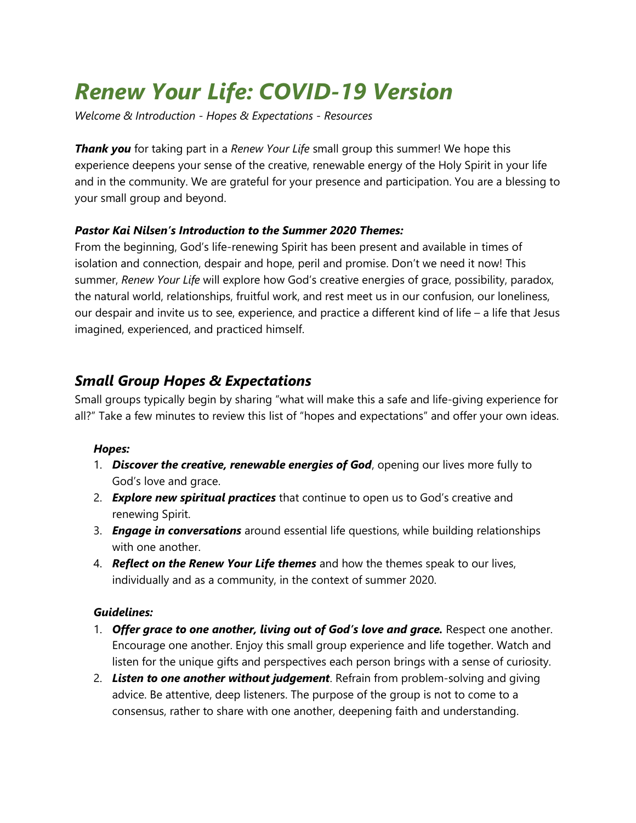# *Renew Your Life: COVID-19 Version*

*Welcome & Introduction - Hopes & Expectations - Resources*

*Thank you* for taking part in a *Renew Your Life* small group this summer! We hope this experience deepens your sense of the creative, renewable energy of the Holy Spirit in your life and in the community. We are grateful for your presence and participation. You are a blessing to your small group and beyond.

## *Pastor Kai Nilsen's Introduction to the Summer 2020 Themes:*

From the beginning, God's life-renewing Spirit has been present and available in times of isolation and connection, despair and hope, peril and promise. Don't we need it now! This summer, *Renew Your Life* will explore how God's creative energies of grace, possibility, paradox, the natural world, relationships, fruitful work, and rest meet us in our confusion, our loneliness, our despair and invite us to see, experience, and practice a different kind of life – a life that Jesus imagined, experienced, and practiced himself.

# *Small Group Hopes & Expectations*

Small groups typically begin by sharing "what will make this a safe and life-giving experience for all?" Take a few minutes to review this list of "hopes and expectations" and offer your own ideas.

#### *Hopes:*

- 1. *Discover the creative, renewable energies of God*, opening our lives more fully to God's love and grace.
- 2. *Explore new spiritual practices* that continue to open us to God's creative and renewing Spirit.
- 3. *Engage in conversations* around essential life questions, while building relationships with one another.
- 4. *Reflect on the Renew Your Life themes* and how the themes speak to our lives, individually and as a community, in the context of summer 2020.

## *Guidelines:*

- 1. *Offer grace to one another, living out of God's love and grace.* Respect one another. Encourage one another. Enjoy this small group experience and life together. Watch and listen for the unique gifts and perspectives each person brings with a sense of curiosity.
- 2. *Listen to one another without judgement*. Refrain from problem-solving and giving advice. Be attentive, deep listeners. The purpose of the group is not to come to a consensus, rather to share with one another, deepening faith and understanding.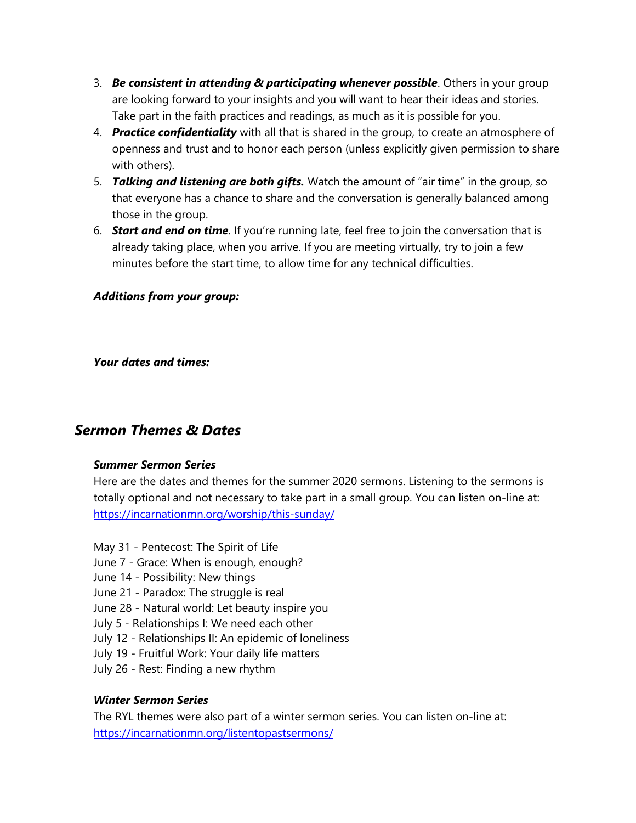- 3. *Be consistent in attending & participating whenever possible*. Others in your group are looking forward to your insights and you will want to hear their ideas and stories. Take part in the faith practices and readings, as much as it is possible for you.
- 4. *Practice confidentiality* with all that is shared in the group, to create an atmosphere of openness and trust and to honor each person (unless explicitly given permission to share with others).
- 5. *Talking and listening are both gifts.* Watch the amount of "air time" in the group, so that everyone has a chance to share and the conversation is generally balanced among those in the group.
- 6. *Start and end on time*. If you're running late, feel free to join the conversation that is already taking place, when you arrive. If you are meeting virtually, try to join a few minutes before the start time, to allow time for any technical difficulties.

#### *Additions from your group:*

*Your dates and times:*

# *Sermon Themes & Dates*

#### *Summer Sermon Series*

Here are the dates and themes for the summer 2020 sermons. Listening to the sermons is totally optional and not necessary to take part in a small group. You can listen on-line at: <https://incarnationmn.org/worship/this-sunday/>

- May 31 Pentecost: The Spirit of Life
- June 7 Grace: When is enough, enough?
- June 14 Possibility: New things
- June 21 Paradox: The struggle is real
- June 28 Natural world: Let beauty inspire you
- July 5 Relationships I: We need each other
- July 12 Relationships II: An epidemic of loneliness
- July 19 Fruitful Work: Your daily life matters
- July 26 Rest: Finding a new rhythm

## *Winter Sermon Series*

The RYL themes were also part of a winter sermon series. You can listen on-line at: <https://incarnationmn.org/listentopastsermons/>